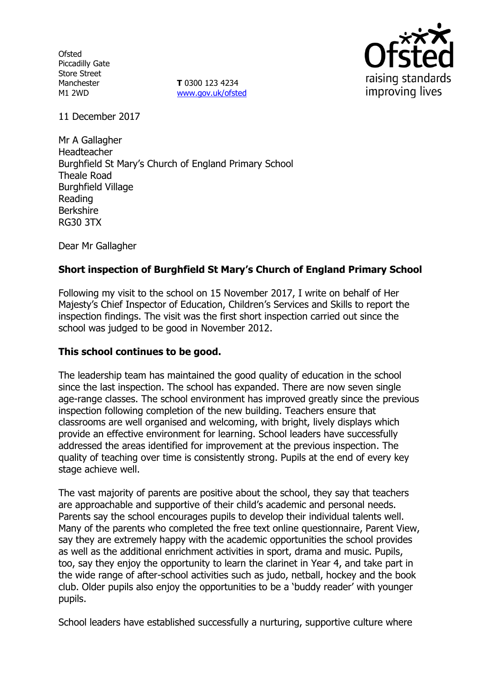**Ofsted** Piccadilly Gate Store Street Manchester M1 2WD

**T** 0300 123 4234 www.gov.uk/ofsted



11 December 2017

Mr A Gallagher Headteacher Burghfield St Mary's Church of England Primary School Theale Road Burghfield Village Reading Berkshire RG30 3TX

Dear Mr Gallagher

## **Short inspection of Burghfield St Mary's Church of England Primary School**

Following my visit to the school on 15 November 2017, I write on behalf of Her Majesty's Chief Inspector of Education, Children's Services and Skills to report the inspection findings. The visit was the first short inspection carried out since the school was judged to be good in November 2012.

### **This school continues to be good.**

The leadership team has maintained the good quality of education in the school since the last inspection. The school has expanded. There are now seven single age-range classes. The school environment has improved greatly since the previous inspection following completion of the new building. Teachers ensure that classrooms are well organised and welcoming, with bright, lively displays which provide an effective environment for learning. School leaders have successfully addressed the areas identified for improvement at the previous inspection. The quality of teaching over time is consistently strong. Pupils at the end of every key stage achieve well.

The vast majority of parents are positive about the school, they say that teachers are approachable and supportive of their child's academic and personal needs. Parents say the school encourages pupils to develop their individual talents well. Many of the parents who completed the free text online questionnaire, Parent View, say they are extremely happy with the academic opportunities the school provides as well as the additional enrichment activities in sport, drama and music. Pupils, too, say they enjoy the opportunity to learn the clarinet in Year 4, and take part in the wide range of after-school activities such as judo, netball, hockey and the book club. Older pupils also enjoy the opportunities to be a 'buddy reader' with younger pupils.

School leaders have established successfully a nurturing, supportive culture where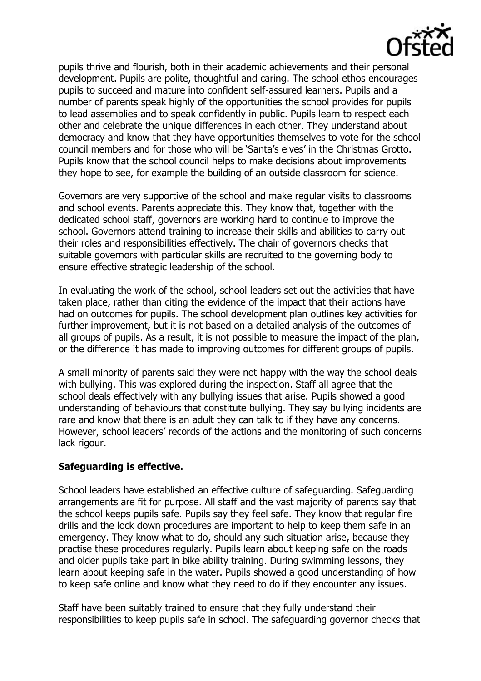

pupils thrive and flourish, both in their academic achievements and their personal development. Pupils are polite, thoughtful and caring. The school ethos encourages pupils to succeed and mature into confident self-assured learners. Pupils and a number of parents speak highly of the opportunities the school provides for pupils to lead assemblies and to speak confidently in public. Pupils learn to respect each other and celebrate the unique differences in each other. They understand about democracy and know that they have opportunities themselves to vote for the school council members and for those who will be 'Santa's elves' in the Christmas Grotto. Pupils know that the school council helps to make decisions about improvements they hope to see, for example the building of an outside classroom for science.

Governors are very supportive of the school and make regular visits to classrooms and school events. Parents appreciate this. They know that, together with the dedicated school staff, governors are working hard to continue to improve the school. Governors attend training to increase their skills and abilities to carry out their roles and responsibilities effectively. The chair of governors checks that suitable governors with particular skills are recruited to the governing body to ensure effective strategic leadership of the school.

In evaluating the work of the school, school leaders set out the activities that have taken place, rather than citing the evidence of the impact that their actions have had on outcomes for pupils. The school development plan outlines key activities for further improvement, but it is not based on a detailed analysis of the outcomes of all groups of pupils. As a result, it is not possible to measure the impact of the plan, or the difference it has made to improving outcomes for different groups of pupils.

A small minority of parents said they were not happy with the way the school deals with bullying. This was explored during the inspection. Staff all agree that the school deals effectively with any bullying issues that arise. Pupils showed a good understanding of behaviours that constitute bullying. They say bullying incidents are rare and know that there is an adult they can talk to if they have any concerns. However, school leaders' records of the actions and the monitoring of such concerns lack rigour.

# **Safeguarding is effective.**

School leaders have established an effective culture of safeguarding. Safeguarding arrangements are fit for purpose. All staff and the vast majority of parents say that the school keeps pupils safe. Pupils say they feel safe. They know that regular fire drills and the lock down procedures are important to help to keep them safe in an emergency. They know what to do, should any such situation arise, because they practise these procedures regularly. Pupils learn about keeping safe on the roads and older pupils take part in bike ability training. During swimming lessons, they learn about keeping safe in the water. Pupils showed a good understanding of how to keep safe online and know what they need to do if they encounter any issues.

Staff have been suitably trained to ensure that they fully understand their responsibilities to keep pupils safe in school. The safeguarding governor checks that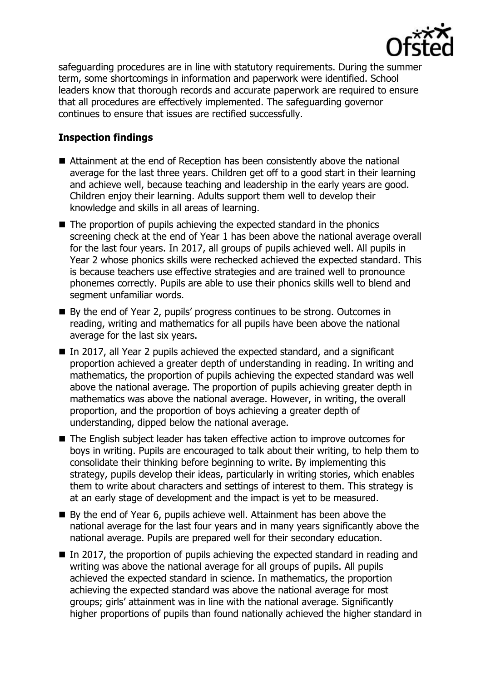

safeguarding procedures are in line with statutory requirements. During the summer term, some shortcomings in information and paperwork were identified. School leaders know that thorough records and accurate paperwork are required to ensure that all procedures are effectively implemented. The safeguarding governor continues to ensure that issues are rectified successfully.

# **Inspection findings**

- Attainment at the end of Reception has been consistently above the national average for the last three years. Children get off to a good start in their learning and achieve well, because teaching and leadership in the early years are good. Children enjoy their learning. Adults support them well to develop their knowledge and skills in all areas of learning.
- $\blacksquare$  The proportion of pupils achieving the expected standard in the phonics screening check at the end of Year 1 has been above the national average overall for the last four years. In 2017, all groups of pupils achieved well. All pupils in Year 2 whose phonics skills were rechecked achieved the expected standard. This is because teachers use effective strategies and are trained well to pronounce phonemes correctly. Pupils are able to use their phonics skills well to blend and segment unfamiliar words.
- By the end of Year 2, pupils' progress continues to be strong. Outcomes in reading, writing and mathematics for all pupils have been above the national average for the last six years.
- In 2017, all Year 2 pupils achieved the expected standard, and a significant proportion achieved a greater depth of understanding in reading. In writing and mathematics, the proportion of pupils achieving the expected standard was well above the national average. The proportion of pupils achieving greater depth in mathematics was above the national average. However, in writing, the overall proportion, and the proportion of boys achieving a greater depth of understanding, dipped below the national average.
- The English subject leader has taken effective action to improve outcomes for boys in writing. Pupils are encouraged to talk about their writing, to help them to consolidate their thinking before beginning to write. By implementing this strategy, pupils develop their ideas, particularly in writing stories, which enables them to write about characters and settings of interest to them. This strategy is at an early stage of development and the impact is yet to be measured.
- By the end of Year 6, pupils achieve well. Attainment has been above the national average for the last four years and in many years significantly above the national average. Pupils are prepared well for their secondary education.
- $\blacksquare$  In 2017, the proportion of pupils achieving the expected standard in reading and writing was above the national average for all groups of pupils. All pupils achieved the expected standard in science. In mathematics, the proportion achieving the expected standard was above the national average for most groups; girls' attainment was in line with the national average. Significantly higher proportions of pupils than found nationally achieved the higher standard in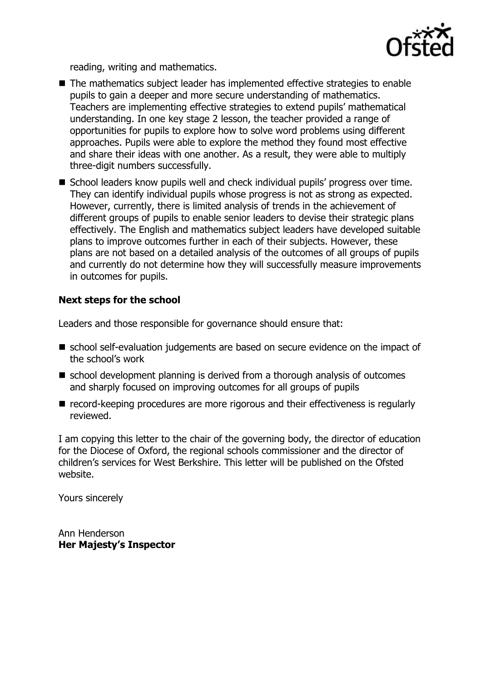

reading, writing and mathematics.

- The mathematics subject leader has implemented effective strategies to enable pupils to gain a deeper and more secure understanding of mathematics. Teachers are implementing effective strategies to extend pupils' mathematical understanding. In one key stage 2 lesson, the teacher provided a range of opportunities for pupils to explore how to solve word problems using different approaches. Pupils were able to explore the method they found most effective and share their ideas with one another. As a result, they were able to multiply three-digit numbers successfully.
- School leaders know pupils well and check individual pupils' progress over time. They can identify individual pupils whose progress is not as strong as expected. However, currently, there is limited analysis of trends in the achievement of different groups of pupils to enable senior leaders to devise their strategic plans effectively. The English and mathematics subject leaders have developed suitable plans to improve outcomes further in each of their subjects. However, these plans are not based on a detailed analysis of the outcomes of all groups of pupils and currently do not determine how they will successfully measure improvements in outcomes for pupils.

## **Next steps for the school**

Leaders and those responsible for governance should ensure that:

- school self-evaluation judgements are based on secure evidence on the impact of the school's work
- school development planning is derived from a thorough analysis of outcomes and sharply focused on improving outcomes for all groups of pupils
- record-keeping procedures are more rigorous and their effectiveness is regularly reviewed.

I am copying this letter to the chair of the governing body, the director of education for the Diocese of Oxford, the regional schools commissioner and the director of children's services for West Berkshire. This letter will be published on the Ofsted website.

Yours sincerely

Ann Henderson **Her Majesty's Inspector**